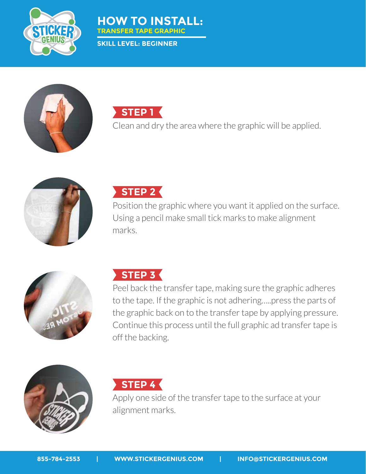



**SKILL LEVEL: BEGINNER**





Clean and dry the area where the graphic will be applied.





Position the graphic where you want it applied on the surface. Using a pencil make small tick marks to make alignment marks.



## **STEP 3 STEP 3**

Peel back the transfer tape, making sure the graphic adheres to the tape. If the graphic is not adhering…..press the parts of the graphic back on to the transfer tape by applying pressure. Continue this process until the full graphic ad transfer tape is off the backing.



## **STEP 4 STEP 4**

Apply one side of the transfer tape to the surface at your alignment marks.